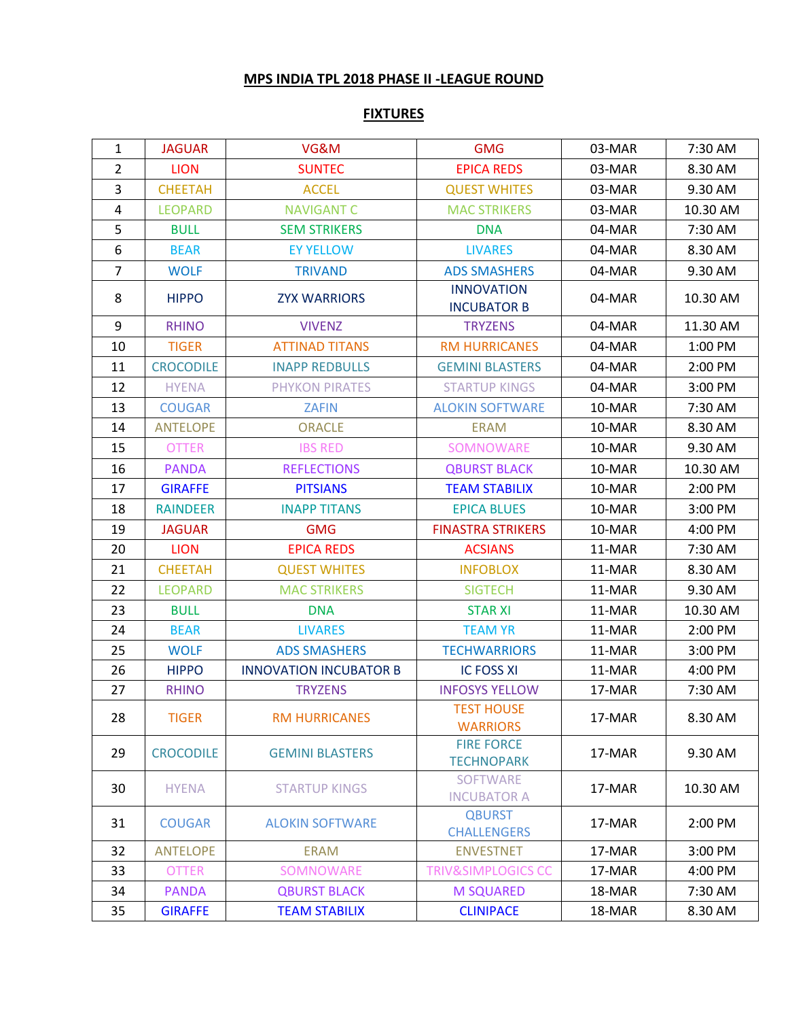## **MPS INDIA TPL 2018 PHASE II -LEAGUE ROUND**

## **FIXTURES**

| $\mathbf{1}$   | <b>JAGUAR</b>    | VG&M                          | <b>GMG</b>                              | 03-MAR | 7:30 AM  |
|----------------|------------------|-------------------------------|-----------------------------------------|--------|----------|
| $\overline{2}$ | <b>LION</b>      | <b>SUNTEC</b>                 | <b>EPICA REDS</b>                       | 03-MAR | 8.30 AM  |
| $\overline{3}$ | <b>CHEETAH</b>   | <b>ACCEL</b>                  | <b>QUEST WHITES</b>                     | 03-MAR | 9.30 AM  |
| $\overline{4}$ | <b>LEOPARD</b>   | <b>NAVIGANT C</b>             | <b>MAC STRIKERS</b>                     | 03-MAR | 10.30 AM |
| 5              | <b>BULL</b>      | <b>SEM STRIKERS</b>           | <b>DNA</b>                              | 04-MAR | 7:30 AM  |
| 6              | <b>BEAR</b>      | <b>EY YELLOW</b>              | <b>LIVARES</b>                          | 04-MAR | 8.30 AM  |
| $\overline{7}$ | <b>WOLF</b>      | <b>TRIVAND</b>                | <b>ADS SMASHERS</b>                     | 04-MAR | 9.30 AM  |
| 8              | <b>HIPPO</b>     | <b>ZYX WARRIORS</b>           | <b>INNOVATION</b><br><b>INCUBATOR B</b> | 04-MAR | 10.30 AM |
| 9              | <b>RHINO</b>     | <b>VIVENZ</b>                 | <b>TRYZENS</b>                          | 04-MAR | 11.30 AM |
| 10             | <b>TIGER</b>     | <b>ATTINAD TITANS</b>         | <b>RM HURRICANES</b>                    | 04-MAR | 1:00 PM  |
| 11             | <b>CROCODILE</b> | <b>INAPP REDBULLS</b>         | <b>GEMINI BLASTERS</b>                  | 04-MAR | 2:00 PM  |
| 12             | <b>HYENA</b>     | <b>PHYKON PIRATES</b>         | <b>STARTUP KINGS</b>                    | 04-MAR | 3:00 PM  |
| 13             | <b>COUGAR</b>    | <b>ZAFIN</b>                  | <b>ALOKIN SOFTWARE</b>                  | 10-MAR | 7:30 AM  |
| 14             | <b>ANTELOPE</b>  | <b>ORACLE</b>                 | <b>ERAM</b>                             | 10-MAR | 8.30 AM  |
| 15             | <b>OTTER</b>     | <b>IBS RED</b>                | SOMNOWARE                               | 10-MAR | 9.30 AM  |
| 16             | <b>PANDA</b>     | <b>REFLECTIONS</b>            | <b>QBURST BLACK</b>                     | 10-MAR | 10.30 AM |
| 17             | <b>GIRAFFE</b>   | <b>PITSIANS</b>               | <b>TEAM STABILIX</b>                    | 10-MAR | 2:00 PM  |
| 18             | <b>RAINDEER</b>  | <b>INAPP TITANS</b>           | <b>EPICA BLUES</b>                      | 10-MAR | 3:00 PM  |
| 19             | <b>JAGUAR</b>    | <b>GMG</b>                    | <b>FINASTRA STRIKERS</b>                | 10-MAR | 4:00 PM  |
| 20             | <b>LION</b>      | <b>EPICA REDS</b>             | <b>ACSIANS</b>                          | 11-MAR | 7:30 AM  |
| 21             | <b>CHEETAH</b>   | <b>QUEST WHITES</b>           | <b>INFOBLOX</b>                         | 11-MAR | 8.30 AM  |
| 22             | <b>LEOPARD</b>   | <b>MAC STRIKERS</b>           | <b>SIGTECH</b>                          | 11-MAR | 9.30 AM  |
| 23             | <b>BULL</b>      | <b>DNA</b>                    | <b>STAR XI</b>                          | 11-MAR | 10.30 AM |
| 24             | <b>BEAR</b>      | <b>LIVARES</b>                | <b>TEAM YR</b>                          | 11-MAR | 2:00 PM  |
| 25             | <b>WOLF</b>      | <b>ADS SMASHERS</b>           | <b>TECHWARRIORS</b>                     | 11-MAR | 3:00 PM  |
| 26             | <b>HIPPO</b>     | <b>INNOVATION INCUBATOR B</b> | <b>IC FOSS XI</b>                       | 11-MAR | 4:00 PM  |
| 27             | <b>RHINO</b>     | <b>TRYZENS</b>                | <b>INFOSYS YELLOW</b>                   | 17-MAR | 7:30 AM  |
| 28             | <b>TIGER</b>     | <b>RM HURRICANES</b>          | <b>TEST HOUSE</b><br><b>WARRIORS</b>    | 17-MAR | 8.30 AM  |
| 29             | <b>CROCODILE</b> | <b>GEMINI BLASTERS</b>        | <b>FIRE FORCE</b><br><b>TECHNOPARK</b>  | 17-MAR | 9.30 AM  |
| 30             | <b>HYENA</b>     | <b>STARTUP KINGS</b>          | <b>SOFTWARE</b><br><b>INCUBATOR A</b>   | 17-MAR | 10.30 AM |
| 31             | <b>COUGAR</b>    | <b>ALOKIN SOFTWARE</b>        | <b>QBURST</b><br><b>CHALLENGERS</b>     | 17-MAR | 2:00 PM  |
| 32             | <b>ANTELOPE</b>  | <b>ERAM</b>                   | <b>ENVESTNET</b>                        | 17-MAR | 3:00 PM  |
| 33             | <b>OTTER</b>     | SOMNOWARE                     | <b>TRIV&amp;SIMPLOGICS CC</b>           | 17-MAR | 4:00 PM  |
| 34             | <b>PANDA</b>     | <b>QBURST BLACK</b>           | <b>M SQUARED</b>                        | 18-MAR | 7:30 AM  |
| 35             | <b>GIRAFFE</b>   | <b>TEAM STABILIX</b>          | <b>CLINIPACE</b>                        | 18-MAR | 8.30 AM  |